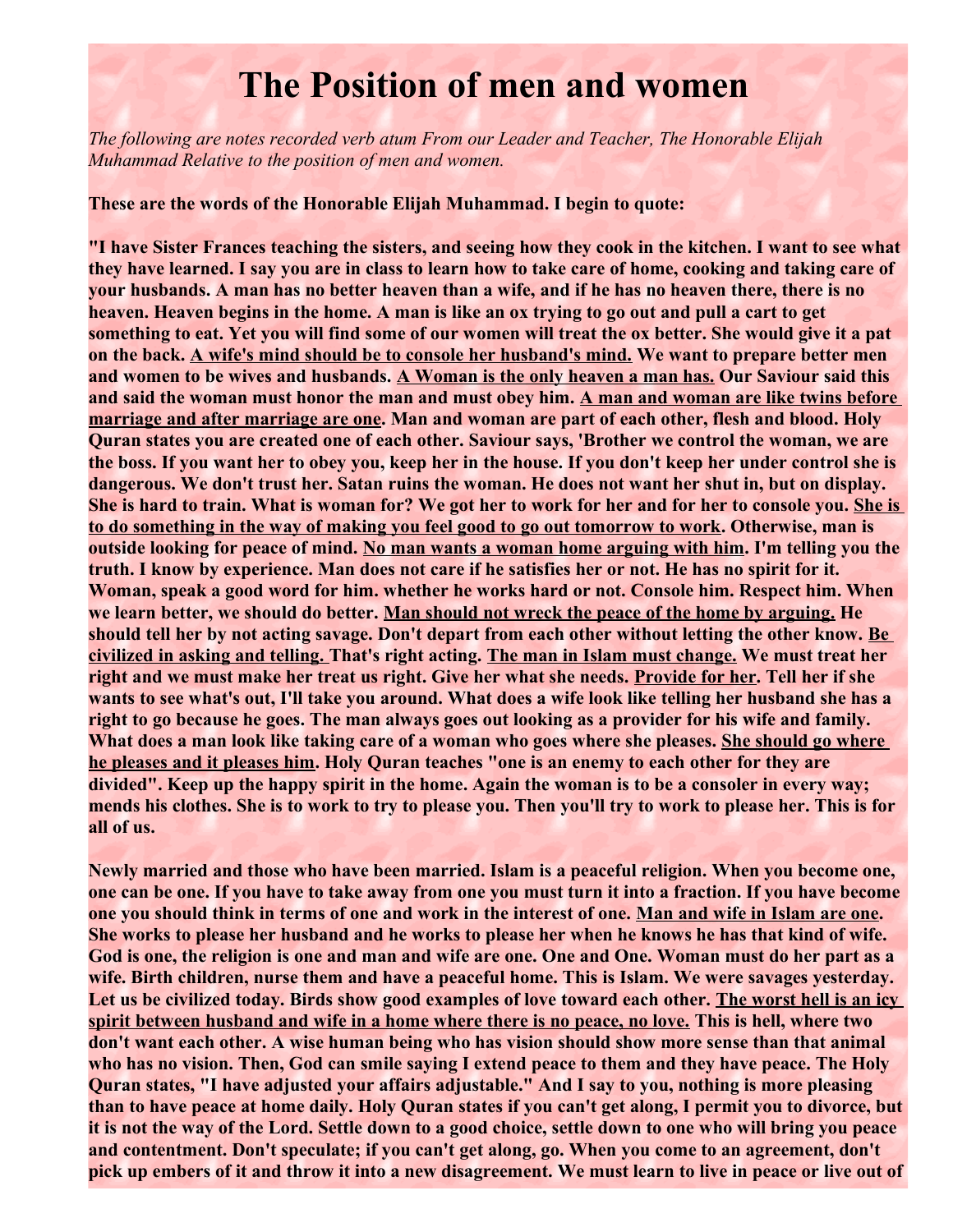## **The Position of men and women**

*The following are notes recorded verb atum From our Leader and Teacher, The Honorable Elijah Muhammad Relative to the position of men and women.* 

**These are the words of the Honorable Elijah Muhammad. I begin to quote:** 

**"I have Sister Frances teaching the sisters, and seeing how they cook in the kitchen. I want to see what they have learned. I say you are in class to learn how to take care of home, cooking and taking care of your husbands. A man has no better heaven than a wife, and if he has no heaven there, there is no heaven. Heaven begins in the home. A man is like an ox trying to go out and pull a cart to get something to eat. Yet you will find some of our women will treat the ox better. She would give it a pat on the back. A wife's mind should be to console her husband's mind. We want to prepare better men and women to be wives and husbands. A Woman is the only heaven a man has. Our Saviour said this and said the woman must honor the man and must obey him. A man and woman are like twins before marriage and after marriage are one. Man and woman are part of each other, flesh and blood. Holy Quran states you are created one of each other. Saviour says, 'Brother we control the woman, we are the boss. If you want her to obey you, keep her in the house. If you don't keep her under control she is dangerous. We don't trust her. Satan ruins the woman. He does not want her shut in, but on display. She is hard to train. What is woman for? We got her to work for her and for her to console you. She is to do something in the way of making you feel good to go out tomorrow to work. Otherwise, man is outside looking for peace of mind. No man wants a woman home arguing with him. I'm telling you the truth. I know by experience. Man does not care if he satisfies her or not. He has no spirit for it. Woman, speak a good word for him. whether he works hard or not. Console him. Respect him. When we learn better, we should do better. Man should not wreck the peace of the home by arguing. He should tell her by not acting savage. Don't depart from each other without letting the other know. Be civilized in asking and telling. That's right acting. The man in Islam must change. We must treat her right and we must make her treat us right. Give her what she needs. Provide for her. Tell her if she wants to see what's out, I'll take you around. What does a wife look like telling her husband she has a right to go because he goes. The man always goes out looking as a provider for his wife and family. What does a man look like taking care of a woman who goes where she pleases. She should go where he pleases and it pleases him. Holy Quran teaches "one is an enemy to each other for they are divided". Keep up the happy spirit in the home. Again the woman is to be a consoler in every way; mends his clothes. She is to work to try to please you. Then you'll try to work to please her. This is for all of us.** 

**Newly married and those who have been married. Islam is a peaceful religion. When you become one, one can be one. If you have to take away from one you must turn it into a fraction. If you have become one you should think in terms of one and work in the interest of one. Man and wife in Islam are one. She works to please her husband and he works to please her when he knows he has that kind of wife. God is one, the religion is one and man and wife are one. One and One. Woman must do her part as a wife. Birth children, nurse them and have a peaceful home. This is Islam. We were savages yesterday. Let us be civilized today. Birds show good examples of love toward each other. The worst hell is an icy spirit between husband and wife in a home where there is no peace, no love. This is hell, where two don't want each other. A wise human being who has vision should show more sense than that animal who has no vision. Then, God can smile saying I extend peace to them and they have peace. The Holy Quran states, "I have adjusted your affairs adjustable." And I say to you, nothing is more pleasing than to have peace at home daily. Holy Quran states if you can't get along, I permit you to divorce, but it is not the way of the Lord. Settle down to a good choice, settle down to one who will bring you peace and contentment. Don't speculate; if you can't get along, go. When you come to an agreement, don't pick up embers of it and throw it into a new disagreement. We must learn to live in peace or live out of**